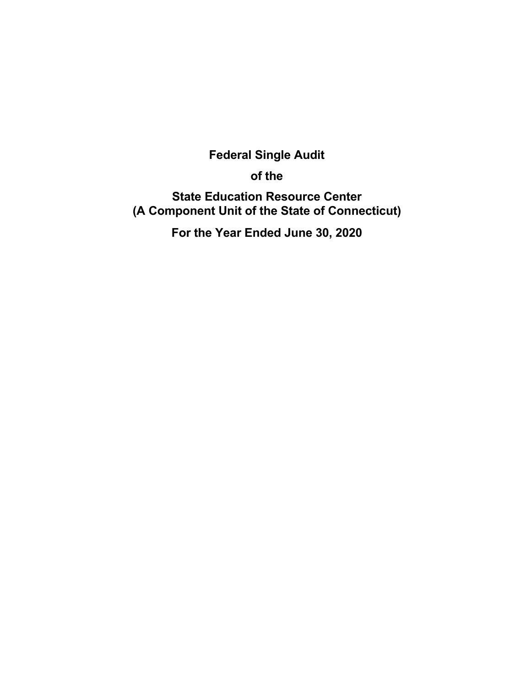# **Federal Single Audit**

**of the** 

**State Education Resource Center (A Component Unit of the State of Connecticut)** 

**For the Year Ended June 30, 2020**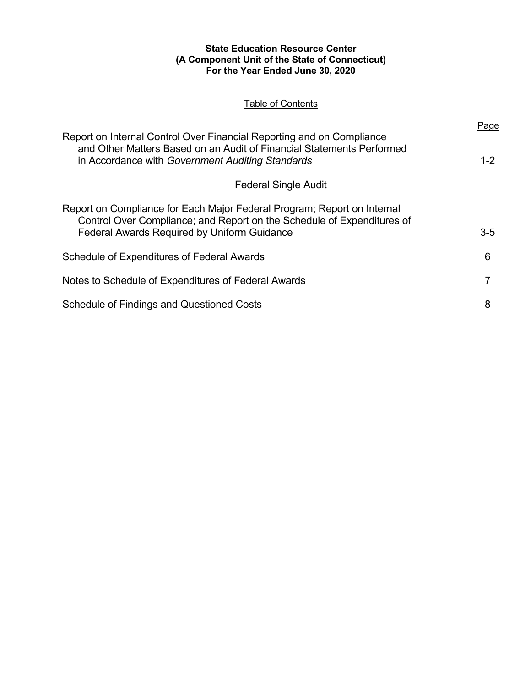## **State Education Resource Center (A Component Unit of the State of Connecticut) For the Year Ended June 30, 2020**

# Table of Contents

| Report on Internal Control Over Financial Reporting and on Compliance                                                                                                                                   |         |  |
|---------------------------------------------------------------------------------------------------------------------------------------------------------------------------------------------------------|---------|--|
| and Other Matters Based on an Audit of Financial Statements Performed<br>in Accordance with Government Auditing Standards                                                                               | $1 - 2$ |  |
| <b>Federal Single Audit</b>                                                                                                                                                                             |         |  |
| Report on Compliance for Each Major Federal Program; Report on Internal<br>Control Over Compliance; and Report on the Schedule of Expenditures of<br><b>Federal Awards Required by Uniform Guidance</b> | $3-5$   |  |
| Schedule of Expenditures of Federal Awards                                                                                                                                                              | 6       |  |
| Notes to Schedule of Expenditures of Federal Awards                                                                                                                                                     | 7       |  |
| <b>Schedule of Findings and Questioned Costs</b>                                                                                                                                                        | 8       |  |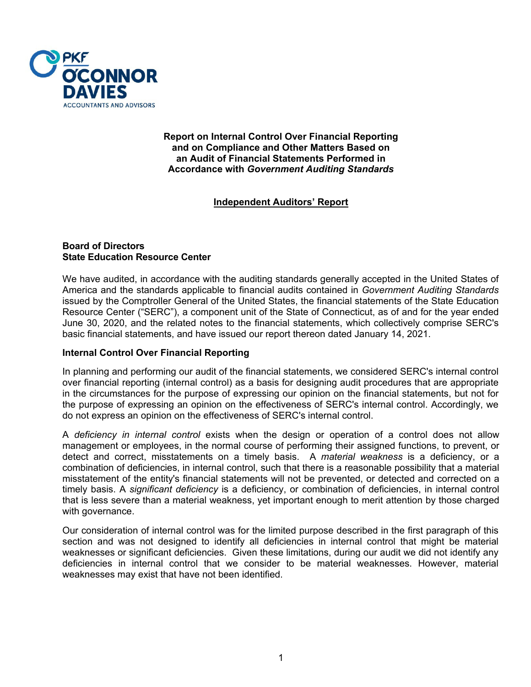

#### **Report on Internal Control Over Financial Reporting and on Compliance and Other Matters Based on an Audit of Financial Statements Performed in Accordance with** *Government Auditing Standards*

# **Independent Auditors' Report**

## **Board of Directors State Education Resource Center**

We have audited, in accordance with the auditing standards generally accepted in the United States of America and the standards applicable to financial audits contained in *Government Auditing Standards*  issued by the Comptroller General of the United States, the financial statements of the State Education Resource Center ("SERC"), a component unit of the State of Connecticut, as of and for the year ended June 30, 2020, and the related notes to the financial statements, which collectively comprise SERC's basic financial statements, and have issued our report thereon dated January 14, 2021.

## **Internal Control Over Financial Reporting**

In planning and performing our audit of the financial statements, we considered SERC's internal control over financial reporting (internal control) as a basis for designing audit procedures that are appropriate in the circumstances for the purpose of expressing our opinion on the financial statements, but not for the purpose of expressing an opinion on the effectiveness of SERC's internal control. Accordingly, we do not express an opinion on the effectiveness of SERC's internal control.

A *deficiency in internal control* exists when the design or operation of a control does not allow management or employees, in the normal course of performing their assigned functions, to prevent, or detect and correct, misstatements on a timely basis. A *material weakness* is a deficiency, or a combination of deficiencies, in internal control, such that there is a reasonable possibility that a material misstatement of the entity's financial statements will not be prevented, or detected and corrected on a timely basis. A *significant deficiency* is a deficiency, or combination of deficiencies, in internal control that is less severe than a material weakness, yet important enough to merit attention by those charged with governance.

Our consideration of internal control was for the limited purpose described in the first paragraph of this section and was not designed to identify all deficiencies in internal control that might be material weaknesses or significant deficiencies. Given these limitations, during our audit we did not identify any deficiencies in internal control that we consider to be material weaknesses. However, material weaknesses may exist that have not been identified.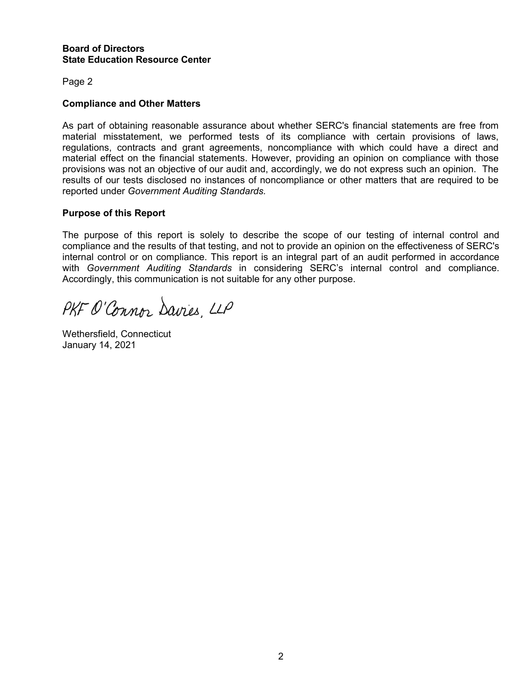#### **Board of Directors State Education Resource Center**

Page 2

## **Compliance and Other Matters**

As part of obtaining reasonable assurance about whether SERC's financial statements are free from material misstatement, we performed tests of its compliance with certain provisions of laws, regulations, contracts and grant agreements, noncompliance with which could have a direct and material effect on the financial statements. However, providing an opinion on compliance with those provisions was not an objective of our audit and, accordingly, we do not express such an opinion. The results of our tests disclosed no instances of noncompliance or other matters that are required to be reported under *Government Auditing Standards.*

#### **Purpose of this Report**

The purpose of this report is solely to describe the scope of our testing of internal control and compliance and the results of that testing, and not to provide an opinion on the effectiveness of SERC's internal control or on compliance. This report is an integral part of an audit performed in accordance with *Government Auditing Standards* in considering SERC's internal control and compliance. Accordingly, this communication is not suitable for any other purpose.

PKF O'Connor Davies, LLP

Wethersfield, Connecticut January 14, 2021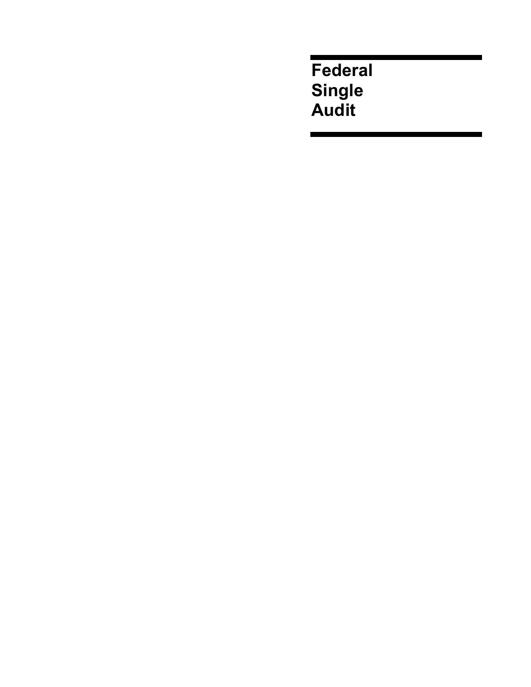**Federal Single Audit**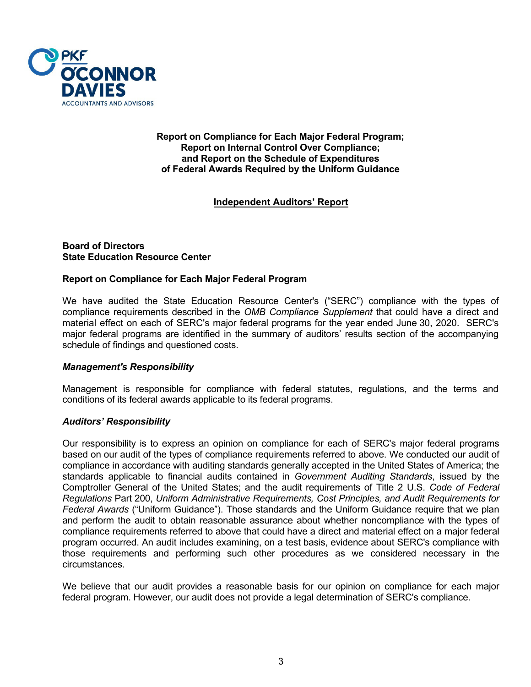

#### **Report on Compliance for Each Major Federal Program; Report on Internal Control Over Compliance; and Report on the Schedule of Expenditures of Federal Awards Required by the Uniform Guidance**

# **Independent Auditors' Report**

## **Board of Directors State Education Resource Center**

## **Report on Compliance for Each Major Federal Program**

We have audited the State Education Resource Center's ("SERC") compliance with the types of compliance requirements described in the *OMB Compliance Supplement* that could have a direct and material effect on each of SERC's major federal programs for the year ended June 30, 2020. SERC's major federal programs are identified in the summary of auditors' results section of the accompanying schedule of findings and questioned costs.

#### *Management's Responsibility*

Management is responsible for compliance with federal statutes, regulations, and the terms and conditions of its federal awards applicable to its federal programs.

#### *Auditors' Responsibility*

Our responsibility is to express an opinion on compliance for each of SERC's major federal programs based on our audit of the types of compliance requirements referred to above. We conducted our audit of compliance in accordance with auditing standards generally accepted in the United States of America; the standards applicable to financial audits contained in *Government Auditing Standards*, issued by the Comptroller General of the United States; and the audit requirements of Title 2 U.S. *Code of Federal Regulations* Part 200, *Uniform Administrative Requirements, Cost Principles, and Audit Requirements for Federal Awards* ("Uniform Guidance"). Those standards and the Uniform Guidance require that we plan and perform the audit to obtain reasonable assurance about whether noncompliance with the types of compliance requirements referred to above that could have a direct and material effect on a major federal program occurred. An audit includes examining, on a test basis, evidence about SERC's compliance with those requirements and performing such other procedures as we considered necessary in the circumstances.

We believe that our audit provides a reasonable basis for our opinion on compliance for each major federal program. However, our audit does not provide a legal determination of SERC's compliance.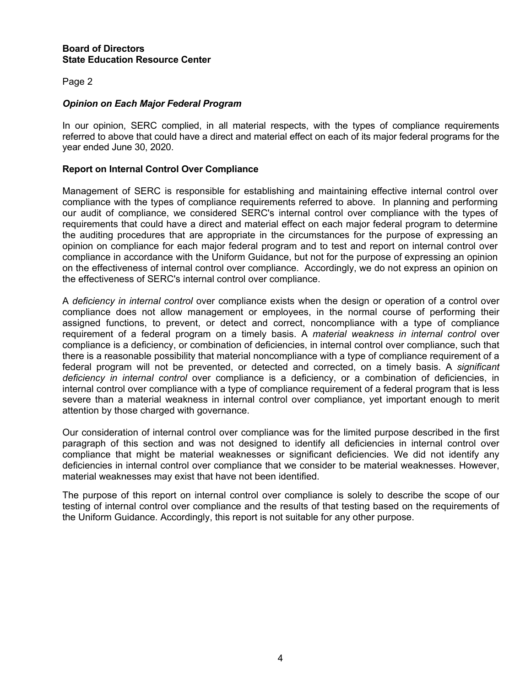#### **Board of Directors State Education Resource Center**

## Page 2

## *Opinion on Each Major Federal Program*

In our opinion, SERC complied, in all material respects, with the types of compliance requirements referred to above that could have a direct and material effect on each of its major federal programs for the year ended June 30, 2020.

## **Report on Internal Control Over Compliance**

Management of SERC is responsible for establishing and maintaining effective internal control over compliance with the types of compliance requirements referred to above. In planning and performing our audit of compliance, we considered SERC's internal control over compliance with the types of requirements that could have a direct and material effect on each major federal program to determine the auditing procedures that are appropriate in the circumstances for the purpose of expressing an opinion on compliance for each major federal program and to test and report on internal control over compliance in accordance with the Uniform Guidance, but not for the purpose of expressing an opinion on the effectiveness of internal control over compliance. Accordingly, we do not express an opinion on the effectiveness of SERC's internal control over compliance.

A *deficiency in internal control* over compliance exists when the design or operation of a control over compliance does not allow management or employees, in the normal course of performing their assigned functions, to prevent, or detect and correct, noncompliance with a type of compliance requirement of a federal program on a timely basis. A *material weakness in internal control* over compliance is a deficiency, or combination of deficiencies, in internal control over compliance, such that there is a reasonable possibility that material noncompliance with a type of compliance requirement of a federal program will not be prevented, or detected and corrected, on a timely basis. A *significant deficiency in internal control* over compliance is a deficiency, or a combination of deficiencies, in internal control over compliance with a type of compliance requirement of a federal program that is less severe than a material weakness in internal control over compliance, yet important enough to merit attention by those charged with governance.

Our consideration of internal control over compliance was for the limited purpose described in the first paragraph of this section and was not designed to identify all deficiencies in internal control over compliance that might be material weaknesses or significant deficiencies. We did not identify any deficiencies in internal control over compliance that we consider to be material weaknesses. However, material weaknesses may exist that have not been identified.

The purpose of this report on internal control over compliance is solely to describe the scope of our testing of internal control over compliance and the results of that testing based on the requirements of the Uniform Guidance. Accordingly, this report is not suitable for any other purpose.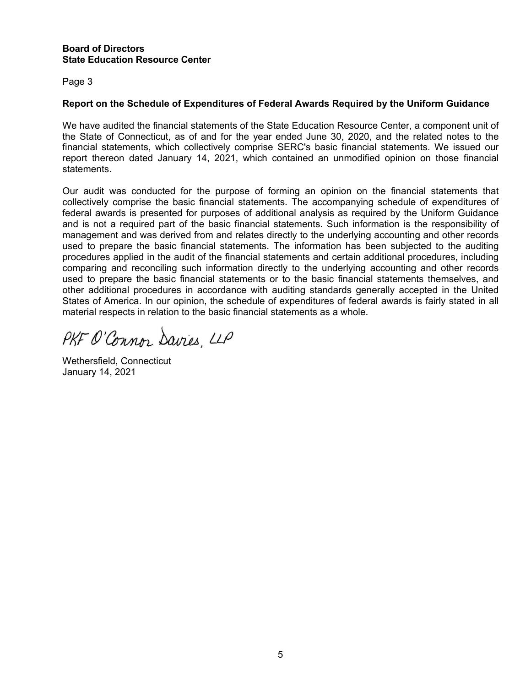## **Board of Directors State Education Resource Center**

Page 3

# **Report on the Schedule of Expenditures of Federal Awards Required by the Uniform Guidance**

We have audited the financial statements of the State Education Resource Center, a component unit of the State of Connecticut, as of and for the year ended June 30, 2020, and the related notes to the financial statements, which collectively comprise SERC's basic financial statements. We issued our report thereon dated January 14, 2021, which contained an unmodified opinion on those financial statements.

Our audit was conducted for the purpose of forming an opinion on the financial statements that collectively comprise the basic financial statements. The accompanying schedule of expenditures of federal awards is presented for purposes of additional analysis as required by the Uniform Guidance and is not a required part of the basic financial statements. Such information is the responsibility of management and was derived from and relates directly to the underlying accounting and other records used to prepare the basic financial statements. The information has been subjected to the auditing procedures applied in the audit of the financial statements and certain additional procedures, including comparing and reconciling such information directly to the underlying accounting and other records used to prepare the basic financial statements or to the basic financial statements themselves, and other additional procedures in accordance with auditing standards generally accepted in the United States of America. In our opinion, the schedule of expenditures of federal awards is fairly stated in all material respects in relation to the basic financial statements as a whole.

PKF O'Connor Davies LLP

Wethersfield, Connecticut January 14, 2021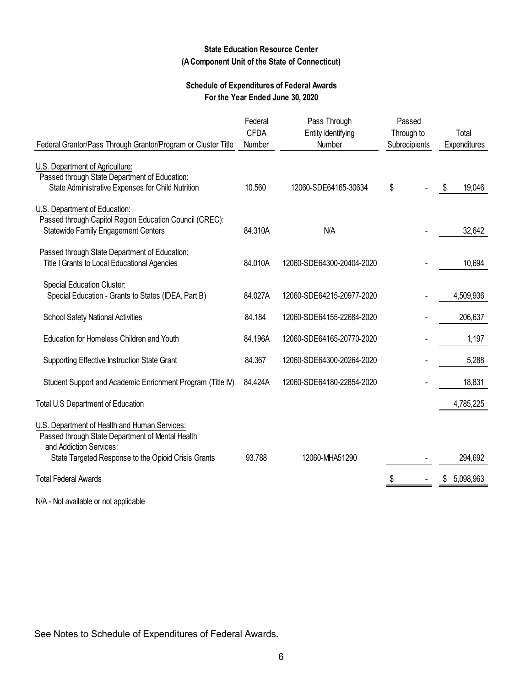## **State Education Resource Center (A Component Unit of the State of Connecticut)**

## **Schedule of Expenditures of Federal Awards For the Year Ended June 30, 2020**

|                                                                                                                                       | Federal<br><b>CFDA</b> | Pass Through<br>Entity Identifying | Passed<br>Through to | Total          |
|---------------------------------------------------------------------------------------------------------------------------------------|------------------------|------------------------------------|----------------------|----------------|
| Federal Grantor/Pass Through Grantor/Program or Cluster Title                                                                         | Number                 | Number                             | Subrecipients        | Expenditures   |
| U.S. Department of Agriculture:<br>Passed through State Department of Education:<br>State Administrative Expenses for Child Nutrition | 10.560                 | 12060-SDE64165-30634               | \$                   | 19,046<br>S    |
| U.S. Department of Education:                                                                                                         |                        |                                    |                      |                |
| Passed through Capitol Region Education Council (CREC):<br><b>Statewide Family Engagement Centers</b>                                 | 84.310A                | N/A                                |                      | 32,642         |
| Passed through State Department of Education:<br>Title I Grants to Local Educational Agencies                                         | 84.010A                | 12060-SDE64300-20404-2020          |                      | 10,694         |
| <b>Special Education Cluster:</b><br>Special Education - Grants to States (IDEA, Part B)                                              | 84.027A                | 12060-SDE64215-20977-2020          |                      | 4,509,936      |
| <b>School Safety National Activities</b>                                                                                              | 84.184                 | 12060-SDE64155-22684-2020          |                      | 206,637        |
| Education for Homeless Children and Youth                                                                                             | 84.196A                | 12060-SDE64165-20770-2020          |                      | 1,197          |
| Supporting Effective Instruction State Grant                                                                                          | 84.367                 | 12060-SDE64300-20264-2020          |                      | 5,288          |
| Student Support and Academic Enrichment Program (Title IV)                                                                            | 84.424A                | 12060-SDE64180-22854-2020          |                      | 18,831         |
| Total U.S Department of Education                                                                                                     |                        |                                    |                      | 4,785,225      |
| U.S. Department of Health and Human Services:<br>Passed through State Department of Mental Health<br>and Addiction Services:          |                        |                                    |                      |                |
| State Targeted Response to the Opioid Crisis Grants                                                                                   | 93.788                 | 12060-MHA51290                     |                      | 294,692        |
| <b>Total Federal Awards</b>                                                                                                           |                        |                                    |                      | 5,098,963<br>S |
| N/A - Not available or not applicable                                                                                                 |                        |                                    |                      |                |

See Notes to Schedule of Expenditures of Federal Awards.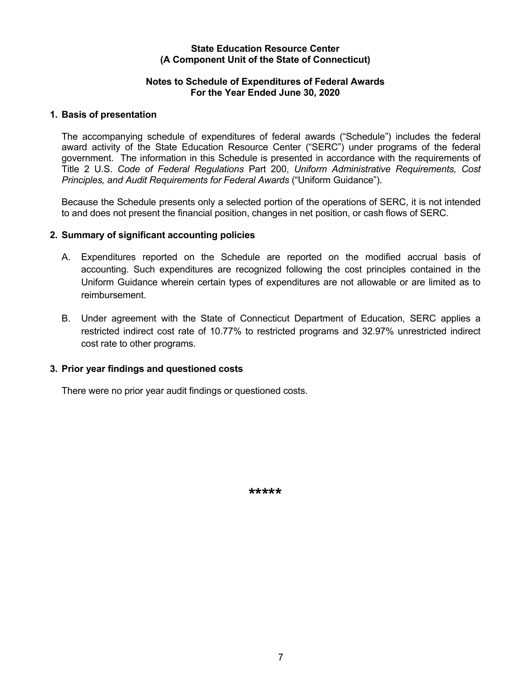#### **State Education Resource Center (A Component Unit of the State of Connecticut)**

## **Notes to Schedule of Expenditures of Federal Awards For the Year Ended June 30, 2020**

## **1. Basis of presentation**

The accompanying schedule of expenditures of federal awards ("Schedule") includes the federal award activity of the State Education Resource Center ("SERC") under programs of the federal government. The information in this Schedule is presented in accordance with the requirements of Title 2 U.S. *Code of Federal Regulations* Part 200, *Uniform Administrative Requirements, Cost Principles, and Audit Requirements for Federal Awards* ("Uniform Guidance").

Because the Schedule presents only a selected portion of the operations of SERC, it is not intended to and does not present the financial position, changes in net position, or cash flows of SERC.

## **2. Summary of significant accounting policies**

- A. Expenditures reported on the Schedule are reported on the modified accrual basis of accounting. Such expenditures are recognized following the cost principles contained in the Uniform Guidance wherein certain types of expenditures are not allowable or are limited as to reimbursement.
- B. Under agreement with the State of Connecticut Department of Education, SERC applies a restricted indirect cost rate of 10.77% to restricted programs and 32.97% unrestricted indirect cost rate to other programs.

## **3. Prior year findings and questioned costs**

There were no prior year audit findings or questioned costs.

**\*\*\*\*\***